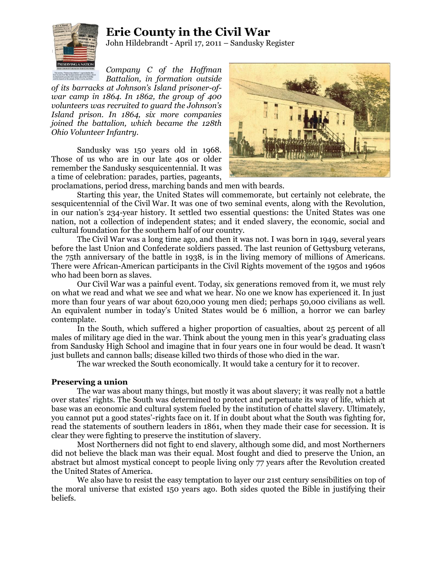## **Erie County in the Civil War**



John Hildebrandt - April 17, 2011 – Sandusky Register

*Company C of the Hoffman Battalion, in formation outside* 

*of its barracks at Johnson's Island prisoner-ofwar camp in 1864. In 1862, the group of 400 volunteers was recruited to guard the Johnson's Island prison. In 1864, six more companies joined the battalion, which became the 128th Ohio Volunteer Infantry.*

Sandusky was 150 years old in 1968. Those of us who are in our late 40s or older remember the Sandusky sesquicentennial. It was a time of celebration: parades, parties, pageants,



proclamations, period dress, marching bands and men with beards.

Starting this year, the United States will commemorate, but certainly not celebrate, the sesquicentennial of the Civil War. It was one of two seminal events, along with the Revolution, in our nation's 234-year history. It settled two essential questions: the United States was one nation, not a collection of independent states; and it ended slavery, the economic, social and cultural foundation for the southern half of our country.

The Civil War was a long time ago, and then it was not. I was born in 1949, several years before the last Union and Confederate soldiers passed. The last reunion of Gettysburg veterans, the 75th anniversary of the battle in 1938, is in the living memory of millions of Americans. There were African-American participants in the Civil Rights movement of the 1950s and 1960s who had been born as slaves.

Our Civil War was a painful event. Today, six generations removed from it, we must rely on what we read and what we see and what we hear. No one we know has experienced it. In just more than four years of war about 620,000 young men died; perhaps 50,000 civilians as well. An equivalent number in today's United States would be 6 million, a horror we can barley contemplate.

In the South, which suffered a higher proportion of casualties, about 25 percent of all males of military age died in the war. Think about the young men in this year's graduating class from Sandusky High School and imagine that in four years one in four would be dead. It wasn't just bullets and cannon balls; disease killed two thirds of those who died in the war.

The war wrecked the South economically. It would take a century for it to recover.

## **Preserving a union**

The war was about many things, but mostly it was about slavery; it was really not a battle over states' rights. The South was determined to protect and perpetuate its way of life, which at base was an economic and cultural system fueled by the institution of chattel slavery. Ultimately, you cannot put a good states'-rights face on it. If in doubt about what the South was fighting for, read the statements of southern leaders in 1861, when they made their case for secession. It is clear they were fighting to preserve the institution of slavery.

Most Northerners did not fight to end slavery, although some did, and most Northerners did not believe the black man was their equal. Most fought and died to preserve the Union, an abstract but almost mystical concept to people living only 77 years after the Revolution created the United States of America.

We also have to resist the easy temptation to layer our 21st century sensibilities on top of the moral universe that existed 150 years ago. Both sides quoted the Bible in justifying their beliefs.